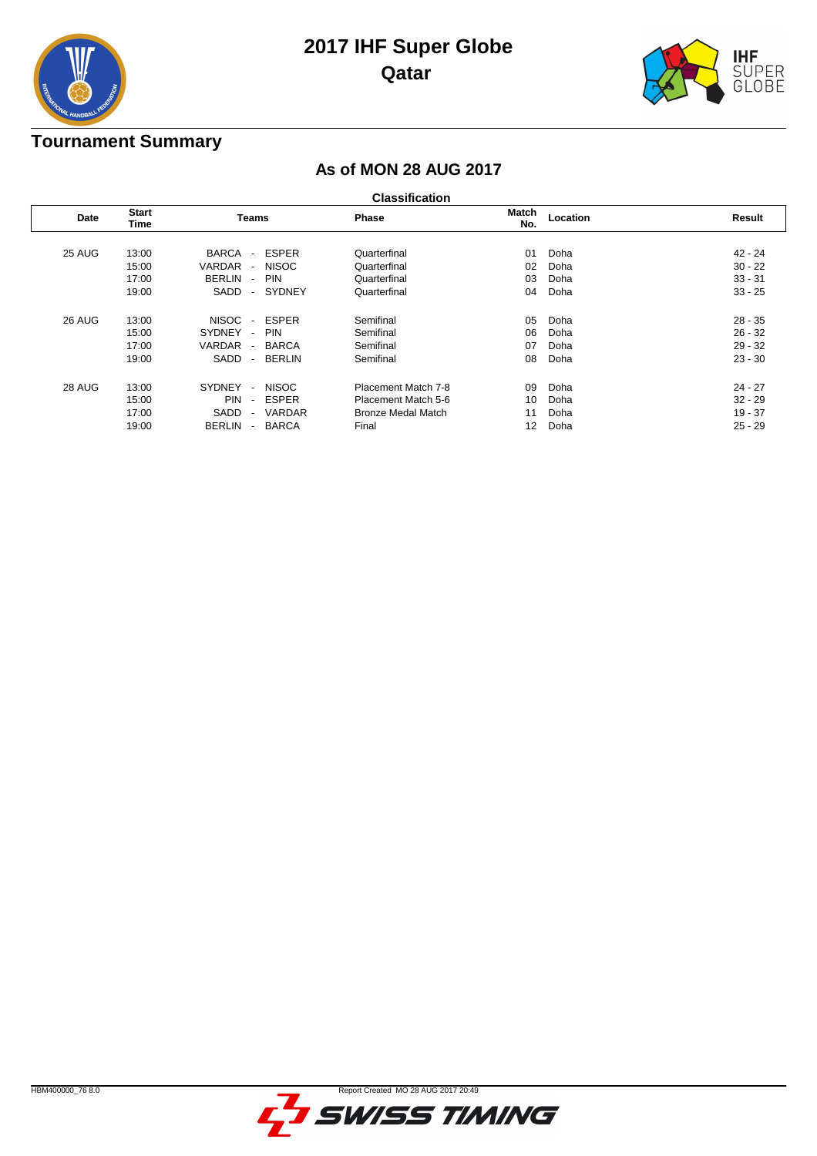

# **2017 IHF Super Globe Qatar**



### **Tournament Summary**

### **As of MON 28 AUG 2017**

| Date   | <b>Start</b><br>Teams<br>Time |                                           | <b>Phase</b>  | Match<br>No.        | Location | Result |           |
|--------|-------------------------------|-------------------------------------------|---------------|---------------------|----------|--------|-----------|
|        |                               |                                           |               |                     |          |        |           |
| 25 AUG | 13:00                         | <b>BARCA</b><br>$\overline{\phantom{a}}$  | <b>ESPER</b>  | Quarterfinal        | 01       | Doha   | 42 - 24   |
|        | 15:00                         | VARDAR<br>$\sim$                          | <b>NISOC</b>  | Quarterfinal        | 02       | Doha   | $30 - 22$ |
|        | 17:00                         | <b>BERLIN</b><br>$\overline{\phantom{a}}$ | <b>PIN</b>    | Quarterfinal        | 03       | Doha   | $33 - 31$ |
|        | 19:00                         | SADD<br>$\blacksquare$                    | <b>SYDNEY</b> | Quarterfinal        | 04       | Doha   | $33 - 25$ |
| 26 AUG | 13:00                         | <b>NISOC</b><br>$\overline{\phantom{a}}$  | <b>ESPER</b>  | Semifinal           | 05       | Doha   | $28 - 35$ |
|        | 15:00                         | SYDNEY<br>$\sim$                          | <b>PIN</b>    | Semifinal           | 06       | Doha   | $26 - 32$ |
|        | 17:00                         | VARDAR<br>$\blacksquare$                  | <b>BARCA</b>  | Semifinal           | 07       | Doha   | $29 - 32$ |
|        | 19:00                         | SADD<br>$\overline{\phantom{a}}$          | <b>BERLIN</b> | Semifinal           | 08       | Doha   | $23 - 30$ |
| 28 AUG | 13:00                         | SYDNEY<br>$\overline{a}$                  | <b>NISOC</b>  | Placement Match 7-8 | 09       | Doha   | $24 - 27$ |
|        | 15:00                         | <b>PIN</b><br>$\sim$                      | <b>ESPER</b>  | Placement Match 5-6 | 10       | Doha   | $32 - 29$ |
|        | 17:00                         | SADD<br>$\sim$                            | <b>VARDAR</b> | Bronze Medal Match  | 11       | Doha   | $19 - 37$ |
|        | 19:00                         | <b>BERLIN</b><br>$\blacksquare$           | <b>BARCA</b>  | Final               | 12       | Doha   | $25 - 29$ |